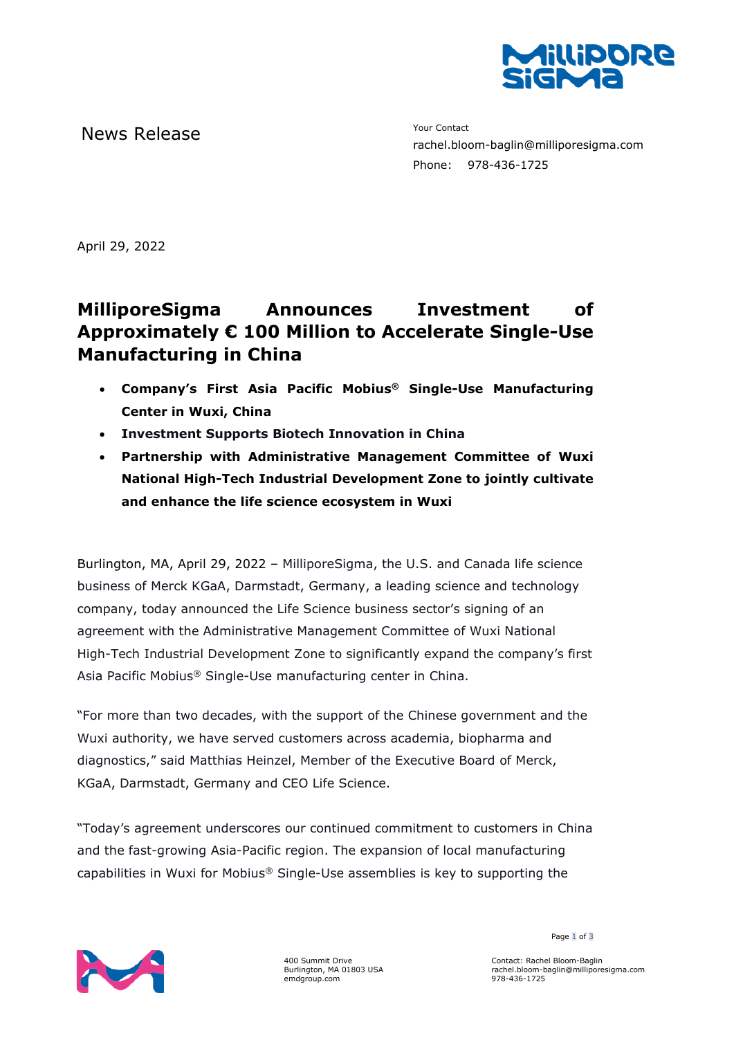

News Release The Contact Terms of the Mean of the Mean of the Vour Contact

rachel.bloom-baglin@milliporesigma.com Phone: 978-436-1725

April 29, 2022

## **MilliporeSigma Announces Investment of Approximately € 100 Million to Accelerate Single-Use Manufacturing in China**

- **Company's First Asia Pacific Mobius® Single-Use Manufacturing Center in Wuxi, China**
- **Investment Supports Biotech Innovation in China**
- **Partnership with Administrative Management Committee of Wuxi National High-Tech Industrial Development Zone to jointly cultivate and enhance the life science ecosystem in Wuxi**

Burlington, MA, April 29, 2022 – MilliporeSigma, the U.S. and Canada life science business of Merck KGaA, Darmstadt, Germany, a leading science and technology company, today announced the Life Science business sector's signing of an agreement with the Administrative Management Committee of Wuxi National High-Tech Industrial Development Zone to significantly expand the company's first Asia Pacific Mobius® Single-Use manufacturing center in China.

"For more than two decades, with the support of the Chinese government and the Wuxi authority, we have served customers across academia, biopharma and diagnostics," said Matthias Heinzel, Member of the Executive Board of Merck, KGaA, Darmstadt, Germany and CEO Life Science.

"Today's agreement underscores our continued commitment to customers in China and the fast-growing Asia-Pacific region. The expansion of local manufacturing capabilities in Wuxi for Mobius® Single-Use assemblies is key to supporting the



400 Summit Drive Burlington, MA 01803 USA emdgroup.com

Page 1 of 3

Contact: Rachel Bloom-Baglin rachel.bloom-baglin@milliporesigma.com 978-436-1725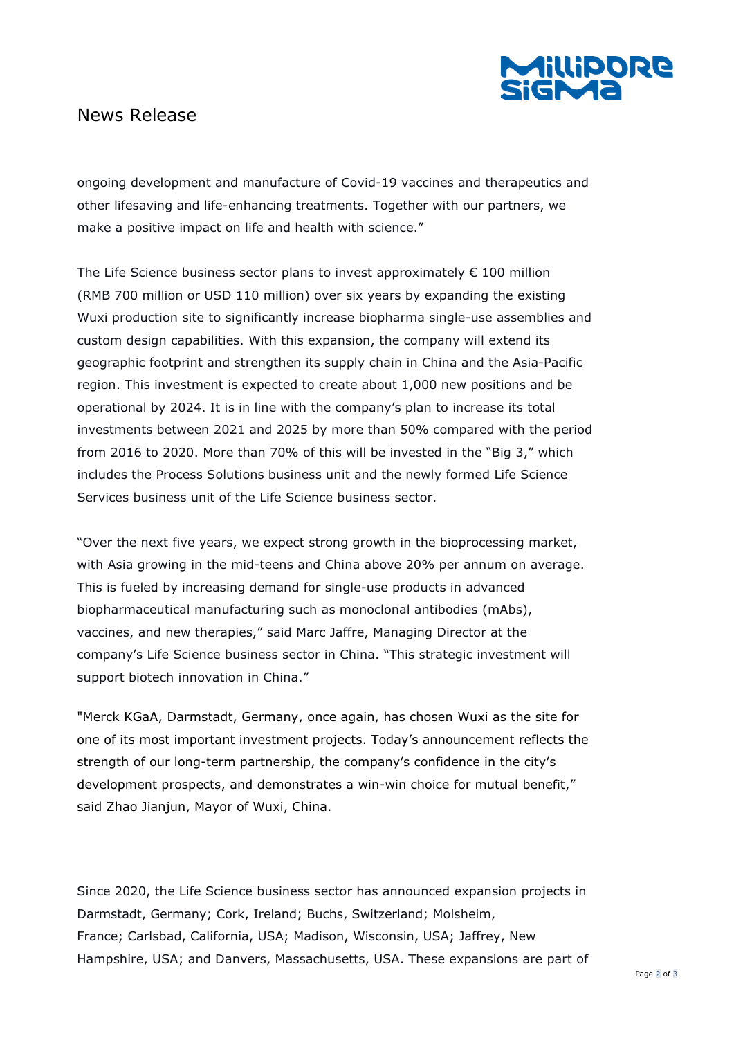

## News Release

ongoing development and manufacture of Covid-19 vaccines and therapeutics and other lifesaving and life-enhancing treatments. Together with our partners, we make a positive impact on life and health with science."

The Life Science business sector plans to invest approximately  $\epsilon$  100 million (RMB 700 million or USD 110 million) over six years by expanding the existing Wuxi production site to significantly increase biopharma single-use assemblies and custom design capabilities. With this expansion, the company will extend its geographic footprint and strengthen its supply chain in China and the Asia-Pacific region. This investment is expected to create about 1,000 new positions and be operational by 2024. It is in line with the company's plan to increase its total investments between 2021 and 2025 by more than 50% compared with the period from 2016 to 2020. More than 70% of this will be invested in the "Big 3," which includes the Process Solutions business unit and the newly formed Life Science Services business unit of the Life Science business sector.

"Over the next five years, we expect strong growth in the bioprocessing market, with Asia growing in the mid-teens and China above 20% per annum on average. This is fueled by increasing demand for single-use products in advanced biopharmaceutical manufacturing such as monoclonal antibodies (mAbs), vaccines, and new therapies," said Marc Jaffre, Managing Director at the company's Life Science business sector in China. "This strategic investment will support biotech innovation in China."

"Merck KGaA, Darmstadt, Germany, once again, has chosen Wuxi as the site for one of its most important investment projects. Today's announcement reflects the strength of our long-term partnership, the company's confidence in the city's development prospects, and demonstrates a win-win choice for mutual benefit," said Zhao Jianjun, Mayor of Wuxi, China.

Since 2020, the Life Science business sector has announced expansion projects in Darmstadt, Germany; Cork, Ireland; Buchs, Switzerland; Molsheim, France; Carlsbad, California, USA; Madison, Wisconsin, USA; Jaffrey, New Hampshire, USA; and Danvers, Massachusetts, USA. These expansions are part of